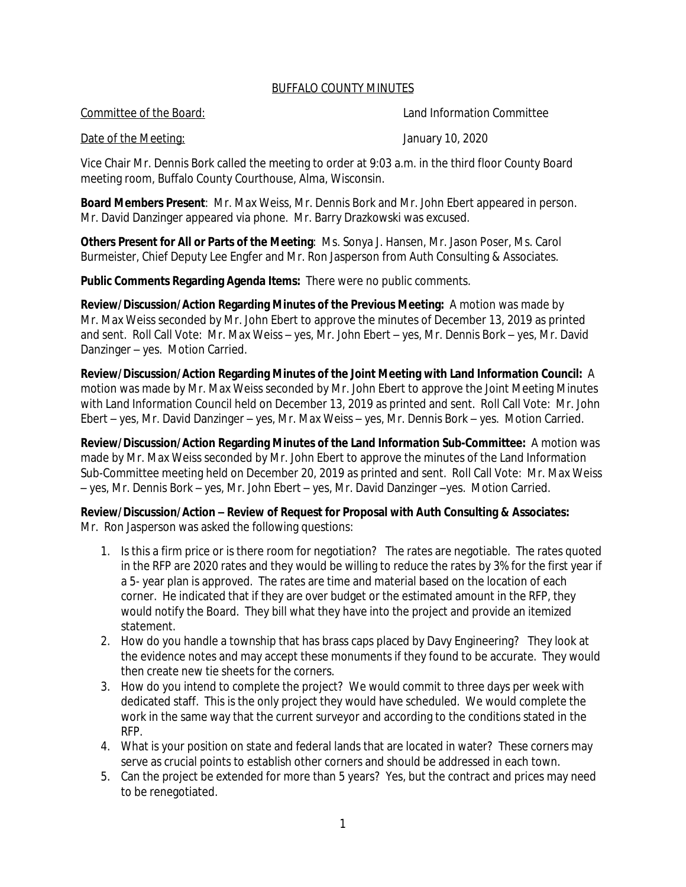## BUFFALO COUNTY MINUTES

Committee of the Board: Land Information Committee

Date of the Meeting: The Meeting: The Meeting Support of the Meeting: January 10, 2020

Vice Chair Mr. Dennis Bork called the meeting to order at 9:03 a.m. in the third floor County Board meeting room, Buffalo County Courthouse, Alma, Wisconsin.

**Board Members Present**: Mr. Max Weiss, Mr. Dennis Bork and Mr. John Ebert appeared in person. Mr. David Danzinger appeared via phone. Mr. Barry Drazkowski was excused.

**Others Present for All or Parts of the Meeting**: Ms. Sonya J. Hansen, Mr. Jason Poser, Ms. Carol Burmeister, Chief Deputy Lee Engfer and Mr. Ron Jasperson from Auth Consulting & Associates.

**Public Comments Regarding Agenda Items:** There were no public comments.

**Review/Discussion/Action Regarding Minutes of the Previous Meeting:** A motion was made by Mr. Max Weiss seconded by Mr. John Ebert to approve the minutes of December 13, 2019 as printed and sent. Roll Call Vote: Mr. Max Weiss – yes, Mr. John Ebert – yes, Mr. Dennis Bork – yes, Mr. David Danzinger – yes. Motion Carried.

**Review/Discussion/Action Regarding Minutes of the Joint Meeting with Land Information Council:** A motion was made by Mr. Max Weiss seconded by Mr. John Ebert to approve the Joint Meeting Minutes with Land Information Council held on December 13, 2019 as printed and sent. Roll Call Vote: Mr. John Ebert – yes, Mr. David Danzinger – yes, Mr. Max Weiss – yes, Mr. Dennis Bork – yes. Motion Carried.

**Review/Discussion/Action Regarding Minutes of the Land Information Sub-Committee:** A motion was made by Mr. Max Weiss seconded by Mr. John Ebert to approve the minutes of the Land Information Sub-Committee meeting held on December 20, 2019 as printed and sent. Roll Call Vote: Mr. Max Weiss – yes, Mr. Dennis Bork – yes, Mr. John Ebert – yes, Mr. David Danzinger –yes. Motion Carried.

**Review/Discussion/Action – Review of Request for Proposal with Auth Consulting & Associates:** Mr. Ron Jasperson was asked the following questions:

- 1. Is this a firm price or is there room for negotiation? The rates are negotiable. The rates quoted in the RFP are 2020 rates and they would be willing to reduce the rates by 3% for the first year if a 5- year plan is approved. The rates are time and material based on the location of each corner. He indicated that if they are over budget or the estimated amount in the RFP, they would notify the Board. They bill what they have into the project and provide an itemized statement.
- 2. How do you handle a township that has brass caps placed by Davy Engineering? They look at the evidence notes and may accept these monuments if they found to be accurate. They would then create new tie sheets for the corners.
- 3. How do you intend to complete the project? We would commit to three days per week with dedicated staff. This is the only project they would have scheduled. We would complete the work in the same way that the current surveyor and according to the conditions stated in the RFP.
- 4. What is your position on state and federal lands that are located in water? These corners may serve as crucial points to establish other corners and should be addressed in each town.
- 5. Can the project be extended for more than 5 years? Yes, but the contract and prices may need to be renegotiated.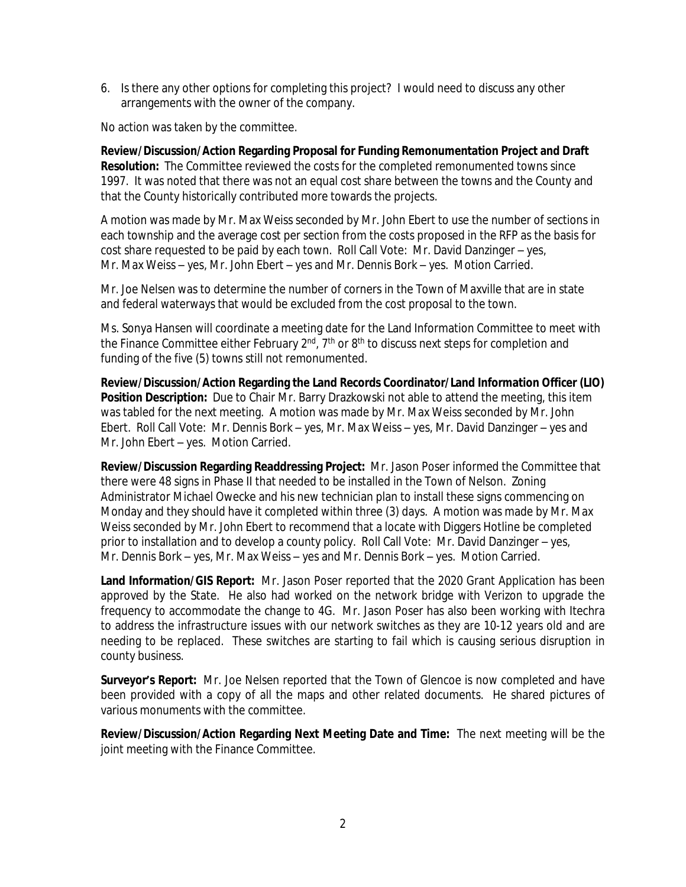6. Is there any other options for completing this project? I would need to discuss any other arrangements with the owner of the company.

No action was taken by the committee.

**Review/Discussion/Action Regarding Proposal for Funding Remonumentation Project and Draft Resolution:** The Committee reviewed the costs for the completed remonumented towns since 1997. It was noted that there was not an equal cost share between the towns and the County and that the County historically contributed more towards the projects.

A motion was made by Mr. Max Weiss seconded by Mr. John Ebert to use the number of sections in each township and the average cost per section from the costs proposed in the RFP as the basis for cost share requested to be paid by each town. Roll Call Vote: Mr. David Danzinger – yes, Mr. Max Weiss – yes, Mr. John Ebert – yes and Mr. Dennis Bork – yes. Motion Carried.

Mr. Joe Nelsen was to determine the number of corners in the Town of Maxville that are in state and federal waterways that would be excluded from the cost proposal to the town.

Ms. Sonya Hansen will coordinate a meeting date for the Land Information Committee to meet with the Finance Committee either February  $2<sup>nd</sup>$ ,  $7<sup>th</sup>$  or  $8<sup>th</sup>$  to discuss next steps for completion and funding of the five (5) towns still not remonumented.

**Review/Discussion/Action Regarding the Land Records Coordinator/Land Information Officer (LIO) Position Description:** Due to Chair Mr. Barry Drazkowski not able to attend the meeting, this item was tabled for the next meeting. A motion was made by Mr. Max Weiss seconded by Mr. John Ebert. Roll Call Vote: Mr. Dennis Bork – yes, Mr. Max Weiss – yes, Mr. David Danzinger – yes and Mr. John Ebert – yes. Motion Carried.

**Review/Discussion Regarding Readdressing Project:** Mr. Jason Poser informed the Committee that there were 48 signs in Phase II that needed to be installed in the Town of Nelson. Zoning Administrator Michael Owecke and his new technician plan to install these signs commencing on Monday and they should have it completed within three (3) days. A motion was made by Mr. Max Weiss seconded by Mr. John Ebert to recommend that a locate with Diggers Hotline be completed prior to installation and to develop a county policy. Roll Call Vote: Mr. David Danzinger – yes, Mr. Dennis Bork – yes, Mr. Max Weiss – yes and Mr. Dennis Bork – yes. Motion Carried.

**Land Information/GIS Report:** Mr. Jason Poser reported that the 2020 Grant Application has been approved by the State. He also had worked on the network bridge with Verizon to upgrade the frequency to accommodate the change to 4G. Mr. Jason Poser has also been working with Itechra to address the infrastructure issues with our network switches as they are 10-12 years old and are needing to be replaced. These switches are starting to fail which is causing serious disruption in county business.

**Surveyor's Report:** Mr. Joe Nelsen reported that the Town of Glencoe is now completed and have been provided with a copy of all the maps and other related documents. He shared pictures of various monuments with the committee.

**Review/Discussion/Action Regarding Next Meeting Date and Time:** The next meeting will be the joint meeting with the Finance Committee.